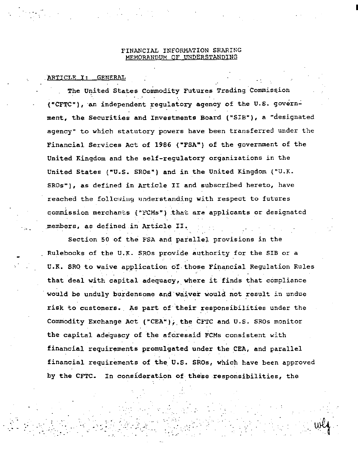## FINANCIAL INFORMATION SHARING MEMORANDUM OF UNDERSTANDING

## ARTICLE I: GENERAL

The United States Commodity Futures Trading Commission ("CFTC"), an independent regulatory agency of the U.S. government, the Securities and Investments Board ("SIB"), a "designated agency" to which statutory powers have been transferred under the Financial Services Act of 1986 ("FSA") of the government of the United Kingdom and the self-requlatory organizations in the United States ("U.S. SROs") and in the United Kingdom ("U.K. SROs"), as defined in Article II and subscribed hereto, have reached the following understanding with respect to futures commission merchants ("FCMs") that are applicants or designated members, as defined in Article II.

Section 50 of the FSA and parallel provisions in the Rulebooks of the U.K. SROs provide authority for the SIB or a U.K. SRO to waive application of those Financial Regulation Rules that deal with capital adequacy, where it finds that compliance would be unduly burdensome and waiver would not result in undue risk to customers. As part of their responsibilities under the Commodity Exchange Act ("CEA"); the CFTC and U.S. SROs monitor the capital adequacy of the aforesaid FCMs consistent with financial requirements promulgated under the CEA, and parallel financial requirements of the U.S. SROs, which have been approved by the CFTC. In consideration of these responsibilities, the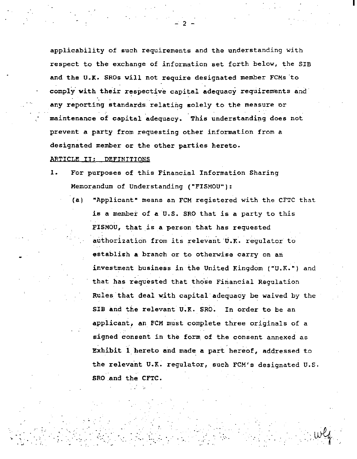applicability of such requirements and the understanding with respect to the exchange of information set forth below, the SIB and the U.K. SROs will not require designated member FCMs "to comply with their respective capital adequacy requirements and any reporting standards relating solely to the measure or maintenance of capital adequacy. This understanding does not prevent a party from requesting other information from a designated member or the other parties hereto.

- 2 -

I

# ARTICLE II: DEFINITIONS

: .·

·•

- 1. For purposes of this Financial Information Sharing Memorandum of Understanding ("FISMOU"):
	- (a) "Applicant" means an FCM registered with the CFTC that is a member of a U.S. SRO that is a party to this FISMOU, that is a person that has requested authorization from its relevant U.K. regulator to establish a branch or to otherwise carry on an investment business in the United Kingdom ("U.K.") and that has requested that those Financial Regulation Rules that deal with capital adequacy be waived by the SIB and the relevant U.K. SRO. In order to be an applicant, an FCM must complete three originals of a signed consent in the form of the consent annexed as Exhibit 1 hereto and made a part hereof, addressed to the relevant U.K. regulator, such FCM's designated U.S. SRO and the CFTC.

. .... ', ···wtt -.\_ --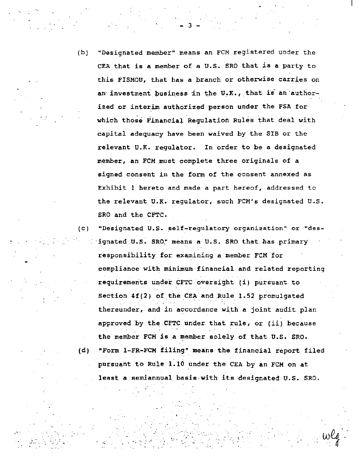(b) "Designated member" means an FCM registered under the CEA that is a member of a U.S. SRO that is a party to this FISMOU, that has a branch or otherwise carries on an investment business in the U.K., that is an authorized or interim authorized person under the FSA for which those Financial Regulation Rules that deal with capital adequacy have been waived by the SIB or the relevant U.K. regulator. In order to be a designated member, an FCM must complete three originals of a signed consent in the form of the consent annexed as Exhibit 1 hereto and made a part hereof, addressed to the relevant U.K. regulator, such FCM's designated U.S. SRO and the CFTC.

(C) "Designated U.S. self--regulatory organization" or "des- .ignated U.S. SRO." means a U.S. SRO that has primary responsibility for examining a member FCM for compliance with minimum financial and related reporting requirements under CFTC oversight (i) pursuant to Section  $4f(2)$  of the CEA and Rule 1.52 promulgated thereunder, and in accordance with a joint audit plan approved by the CFTC under. that rule, or (ii) because the member FCM is a member solely of that U.S. SRO. (d) "Form 1-FR-FCM filing" means the financial report filed pursuant to Rule 1.10 under the CEA by an FCM on at least a semiannual basis-with its designated u.s. SRO.

 $\mathcal{A}_{\text{c},\text{c},\text{c}}$ 

 $\mathcal{L}^{\mathcal{L}}$  ,  $\mathcal{L}^{\mathcal{L}}$  ,  $\mathcal{L}^{\mathcal{L}}$  ,  $\mathcal{L}^{\mathcal{L}}$  ,  $\mathcal{L}^{\mathcal{L}}$  ,  $\mathcal{L}^{\mathcal{L}}$  ,  $\mathcal{L}^{\mathcal{L}}$ 

-··· . ··.:

- 3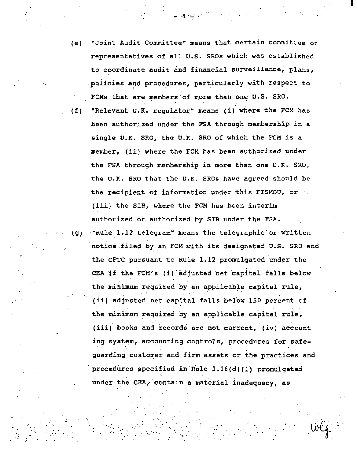(e) "Joint Audit Committee" means that certain committee of representatives of all U.S. SROs which was established to coordinate audit and financial surveillance, plans, policies and procedures, particularly with respect to FCMs that are members of more than one U.S. SRO.

I

- (f) "Relevant U.K. regulator" means (i) where the FCM has been authorized under the FSA through membership in a single U.K. SRO, the U.K. SRO of which the FCM is a member, (ii) where the FCM has been authorized under the FSA through membership in more than one U.K. SRO, the U.K. SRO that the U.K. SROs have agreed should be the recipient of information under this FISMOU, or  $(iii)$  the SIB, where the FCM has been interim authorized or authorized by SIB under the FSA.
- (g) "Rule 1.12 telegram" means the telegraphic or written notice filed by an FCM with its designated U.S. SRO and the CFTC pursuant to Rule 1.12 promulgated under the CEA if the FCM's {i) adjusted net capital falls below the minimum required by an applicable capital rule, (ii) adjusted net capital falls below 150 percent of the minimum required by an applicable capital rule, (iii} books and records are not current, (iv) accounting system, accounting controls, procedures for safeguarding customer and firm assets or the practices and procedures specified in Rule  $1.16(d)$  (l) promulgated under the CEA, contain a material inadequacy, as

. The second is a second  $\log x$  .

.

··.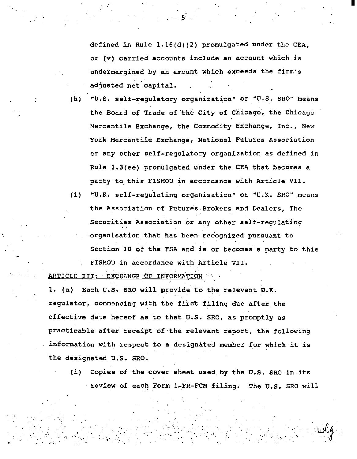defined in Rule 1.16(d)(2) promulgated under the CEA, or (v) carried accounts include an account which is undermargined by an amount which exceeds the firm's adjusted net capital.

I

 $. - 5 -$ 

- (h) "U.S. self-regulatory organization" or "U.S. SRO" means the Board of Trade of the City of Chicago, the Chicago Mercantile Exchange, the Commodity Exchange, Inc., New York Mercantile Exchange, National Futures Association or any other self-regulatory organization as defined in Rule 1.3(ee) promulgated under the CEA that becomes a party to this FISMOU in accordance with Article VII.
- (i) "U.K. self-regulating organisation" or "U.K. SRO" means the Association of Futures Brokers and Dealers, The Securities Association or any other self-regulating organisation that has been recognized pursuant to Section 10 of the FSA and is or becomes a party to this FISMOU in accordance with Article VII.

ARTICLE III: EXCHANGE OF INFORMATION

1. (a) Each U.S. SRO will provide 'to the relevant U.K. regulator, commencing with the first filing due after the effective date hereof as to that U.S. SRO, as promptly as practicable after receipt'of·the relevant report, the following information with respect to a designated member for which it is the designated U.S. SRO.

(i) Copies of the cover sheet used by the u.s.- SRO in its . review of each Form 1.-FR-FCM filing. The U.S. SRO will

. . ,- . . \_.,\_ .. . ·\_. .. :-. .··~ . .-. ·,.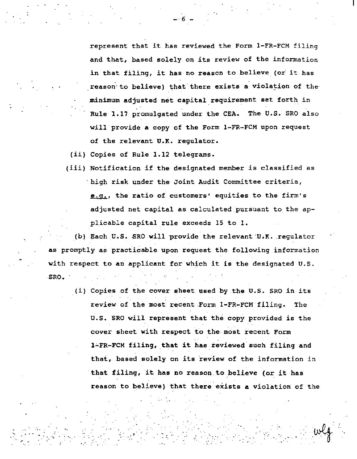represent that it has reviewed the Form 1-FR-FCM filing and that, based solely on its review of the information in that filing, it has no reason to believe (or it has reason to believe) that there exists a violation of the minimum adjusted net capital requirement set forth in Rule 1.17 promulgated under the CEA. The U.S. SRO also will provide a copy of the Form 1-FR-FCM upon request of the relevant U.K. regulator.

 $-6 -$ 

(ii) Copies of Rule 1.12 telegrams.

..

.· .

..

'. ··,

(iii) Notification if the designated member is classified as ·high risk under the Joint Audit Committee criteria,  $e.q.$ , the ratio of customers' equities to the firm's adjusted net capital as calculated pursuant to the applicable capital rule exceeds 15 to 1.

(b) Each U.S. SRO will provide the relevant U.K. regulator as promptly as practicable upon request the following information with respect to an applicant for which it is the designated U.S. SRO.

(i) Copies of the cover sheet used by the U.S. SRO in its review of the most recent .Form 1-FR-FCM filing. The U.S. SRO will represent that the copy provided is the cover sheet with respect to the-most recent Form 1-FR-FCM filing, that it has reviewed such filing and that, based solely on its review of the information in that filing, it has no reason to believe (or it has reason to believe) that there exists a violation of the

 $\mathcal{L} = \{ \mathbf{w}_i \}_{i=1}^N$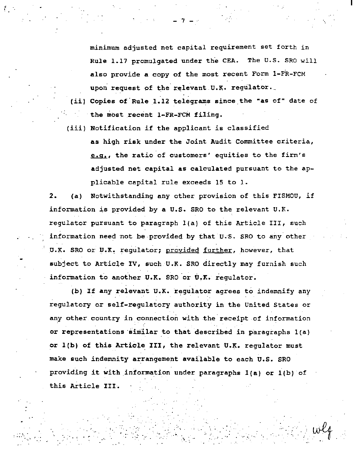minimum adjusted net capital requirement set forth in Rule 1.17 promulgated under the CEA. The U.S. SRO will also provide a copy of the most recent Form 1-FR-FCM upon request of the relevant U.K. regulator.

- (ii) Copies of Rule 1.12 telegrams since the "as of" date of the most recent l~FR-FCM filing.
- (iii) Notification if the applicant is classified as high risk under the Joint Audit Committee criteria, e.g., the ratio of customers' equities to the firm's adjusted net capital as calculated pursuant to the applicable capital rule exceeds 15 to 1.

2. (a) Notwithstanding any other provision of this FISMOU, if information is provided by a u.s. SRO to the relevant U.K. regulator pursuant to paragraph l(a) of this Article III, such information need not be provided by that U.S. SRO to any other U.K. SRO or U.K. regulator; provided further, however, that subject to Article IV, such U.K. SRO directly may furnish such information to another U.K. SRO or U.K. regulator.

(b) If any relevant U.K. regulator agrees to indemnify any regulatory or self-regulatory authority *in* the United States or any other country in connection with the receipt of information or representations similar to that described in paragraphs  $1(a)$ or 1(b) of this Article III, the relevant U.K. regulator must make such indemnity arrangement available to each U.S. SRO providing it with information under paragraphs l(a} or l(b) of this Article III.

 $\mathcal{L} \subset \mathcal{L}$ 

 $\cdot$   $\cdot$ 

. - .·

.... . -- .

. The set of the set of  $\mathcal{L}_\mathcal{L}$ 

-,\_  $\cdot$   $\cdot$   $\cdot$   $-7 -$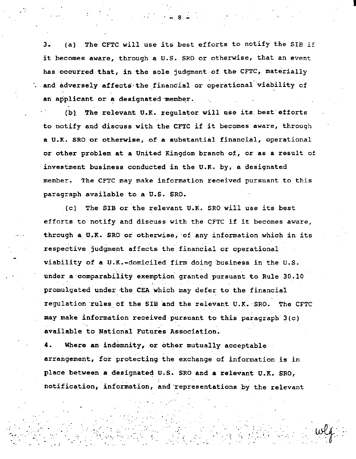The CFTC will use its best efforts to notify the SIB if  $3.$  $(a)$ it becomes aware, through a U.S. SRO or otherwise, that an event has occurred that, in the sole judgment of the CFTC, materially . and adversely affects the financial or operational viability of an applicant or a designated member.

(b) The relevant U.K. regulator will use its best efforts to notify and discuss with the CFTC if it becomes aware, through a U.K. SRO or otherwise, of a substantial financial, operational or other problem at a United Kingdom branch of, or as a result of investment business conducted in the U.K. by, a designated member. The CFTC may make information received pursuant to this paragraph available to a U.S. SRO.

The SIB or the relevant U.K. SRO will use its best  $\lambda$  (c)  $\lambda$ efforts to notify and discuss with the CFTC if it becomes aware, through a U.K. SRO or otherwise, of any information which in its respective judgment affects the financial or operational viability of a U.K.-domiciled firm doing business in the U.S. under a comparability exemption granted pursuant to Rule 30.10 promulgated under the CEA which may defer to the financial regulation rules of the SIB and the relevant U.K. SRO. The CFTC may make information received pursuant to this paragraph 3(c) available to National Futures Association.

Where an indemnity, or other mutually acceptable arrangement, for protecting the exchange of information is in place between a designated U.S. SRO and a relevant U.K. SRO, notification, information, and representations by the relevant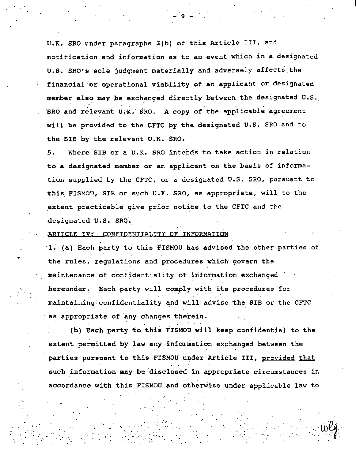U.K. SRO under paragraphs 3(b) of this Article III, and notification and information as to an event which in a designated U.S. SRO's sole judgment materially and adversely affects the financial or operational viability of an applicant or designated member also may be exchanged directly between the designated U.S. SRO and relevant U.K. SRO. A copy of the applicable agreement will be provided to the CFTC by the designated U.S. SRO and to the SIB by the relevant U.K. SRO.

Where SIB or a U.K. SRO intends to take action in relation  $5:$ to a designated member or an applicant on the basis of information supplied by the CFTC, or a designated U.S. SRO, pursuant to this FISMOU, SIB or such U.K. SRO, as appropriate, will to the extent practicable give prior notice to the CFTC and the designated U.S. SRO.

ARTICLE IV: CONFIDENTIALITY OF INFORMATION.

1. (a) Each party to this FISMOU has advised the other parties of the rules, requlations and procedures which govern the maintenance of confidentiality of information exchanged hereunder. Each party will comply with its procedures for maintaining confidentiality and will advise the SIB or the CFTC as appropriate of any changes therein.

(b) Each party to this FISMOU will keep confidential to the extent permitted by law any information exchanged between the parties pursuant to this FISMOU under Article III, provided that such information may be disclosed in appropriate circumstances in accordance with this FISMOU and otherwise under applicable law to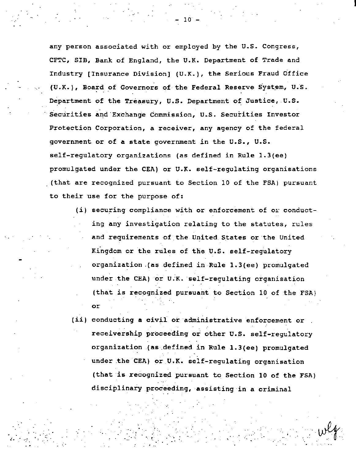any person associated with or employed by the U.S. Congress, CFTC, SIB, Bank of England, the U.K. Department of Trade and Industry [Insurance Division] (U.K.), the Serious Fraud Office  $(U.K.)$ , Board of Governors of the Federal Reserve System, U.S. Department of the Treasury, U.S. Department of Justice, U.S. Securities and Exchange Commission, U.S. Securities Investor Protection Corporation, a receiver, any agency of the federal government or of a state government *in* the U.S., U.S. self-regulatory organizations (as defined in Rule 1.3(ee) promulgated under the CEA) or U.K. self-regulating organisations . (that are recognized pursuant to Section 10 of the FSA) pursuant to their use for the purpose of:

- $(i)$  securing compliance with or enforcement of or conduct*ing* any investlgation relating to the statutes, rules and requirements of the United States or the United Kingdom or the rules of the U.S. self-regulatory organization .(as defined *in* Rule 1.3(ee) promulgated under the CEA) or U.K. self-regulating organisation (that is recognized pursuant to Section 10 of the FSA) or
- (ii) conducting a civil or administrative enforcement or receivership proceeding or other U.S. self-regulatory organization (as \_defined in Rule 1.3(ee) promulgated under .the CEA) or U.K. self-regulating organisation (that is recognized pursuant to Section 10 of the FSA) disciplinary proceeding, assisting in a criminal

 $\ldots$   $w^{\ell}$ 

I

~-. *.·:* 

- 10 -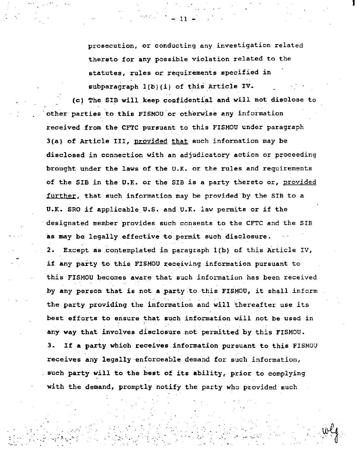prosecution, or conducting any investigation related thereto for any possible violation related to the statutes, rules or requirements specified in subparagraph  $1(b)(i)$  of this Article IV.

I

- 11

.. · \_.

(c) The SIB will keep confidential and will not disclose to other parties to this FISMOU or otherwise any information received from the CFTC pursuant to this FISMOU under paragraph 3(a) of Article III, provided that such information may be disclosed in connection with an adjudicatory action or proceeding brought under the laws of the U.K. or the rules and requirements of the SIB in the U.K. or the SIB is a party thereto or, provided further, that such information may be provided by the SIB to a U.K. SRO if applicable U.S. and U.K. law permits or if the designated member provides such consents to the CFTC and the SIB as may be legally effective to permit such disclosure. 2. Except as contemplated in paragraph 1(b) of this Article IV, if any party to this FISMOU receiving information pursuant to this FISMOU becomes aware that such information has been received by any person that is not a party :to this FISMOU, it shall inform the party providing the information and will thereafter use its best efforts to ensure that such information will not be used in any way that involves disclosure not permitted by this FISMOU. 3. If a party which receives information pursuant to this FISMOU receives any legally-enforceable demand for such information, such party will to the best of its ability, prior to complying with the demand, promptly notify the party who provided such

·.,

.. :://www.com/watch?com/watch?com/watch?com/watch?com/watch?com/watch?com/watch?com/watch?com/watch?com/watch<br>www.com/watch?com/watch?com/watch?com/watch?com/watch?com/watch?com/watch?com/watch?com/watch?com/watch?com/wa<br>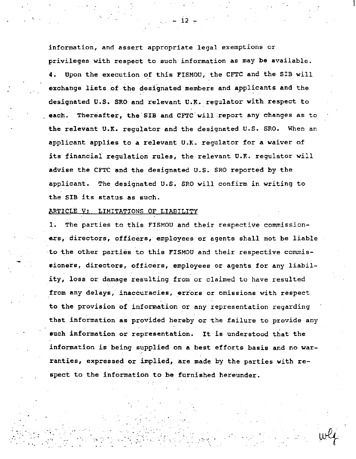information, and assert appropriate legal exemptions or privileges with respect to such information as may be available. 4. Upon the execution of this FISMOU, the CFTC and the SIB will exchange lists of the designated members and applicants and the designated U.S. SRO and relevant U.K. regulator with respect to each. Thereafter, the SIB and CFTC will report any changes as to the relevant U.K. regulator and the designated U.S. SRO. When an applicant applies to a relevant U.K. regulator for a waiver of its financial regulation rules, the relevant U.K. regulator will advise the CFTC and the designated U.S. SRO reported by the applicant. The designated U.S. SRO will confirm in writing to the SIB its status as such.

## ARTICLE V: LIMITATIONS OF LIABILITY

 $\label{eq:3} \frac{1}{2} \sum_{i=1}^n \frac{1}{2} \sum_{i=1}^n \frac{1}{2} \sum_{i=1}^n \frac{1}{2} \sum_{i=1}^n \frac{1}{2} \sum_{i=1}^n \frac{1}{2} \sum_{i=1}^n \frac{1}{2} \sum_{i=1}^n \frac{1}{2} \sum_{i=1}^n \frac{1}{2} \sum_{i=1}^n \frac{1}{2} \sum_{i=1}^n \frac{1}{2} \sum_{i=1}^n \frac{1}{2} \sum_{i=1}^n \frac{1}{2} \sum_{i=1}^n \frac{1}{$ 

. .

1. The parties to this FISMOU and their respective commissioners, directors, officers, employees or agents shall not be liable to the other parties to this FISMOU and their respective commissioners, directors, officers, employees or agents for any liability, loss or damage resulting from or claimed to have resulted from any delays, inaccuracies, errors or omissions with respect to the provision of information or any representation regarding that information as provided hereby or the failure to provide any such information or representation. It is understood that the information is being supplied on a best efforts basis and no warranties, expressed or implied, are made by the parties with respect to the information to be furnished hereunder.

12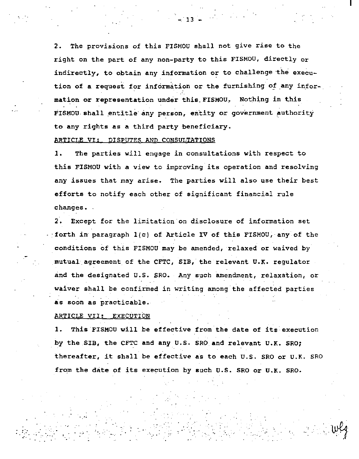2. The provisions of this FISMOU shall not *give* rise to the right on the part of any non-party to this FISMOU, directly or indirectly, to obtain any information or to challenge the execution of a request for information or the furnishing of any information or representation under this\_FISMOU.~ Nothing *in* this FISMOU shall entitle any person, entity or government authority to any rights as a third party beneficiary.

## ARTICLE VI: DISPUTES AND CONSULTATIONS

1. The parties will engage in consultations with respect to this FISMOU with a view to improving its operation and resolving any issues that may arise. The parties will also use their best efforts to notify each other of significant financial rule changes •.

2. Except for the limitation on disclosure of information set :forth in· paragraph l(c) of Article IV of this FISMOU, any of the conditions Of this FISMOU may be amended, relaxed or waived by mutual agreement of the CFTC, SIB, the relevant U.K. regulator and the designated U.S. SRO. Any such amendment, relaxation, or waiver shall be confirmed in writing among the affected parties as soon as practicable.

## ARTICLE VII: EXECUTION

 $\bullet$  .  $\bullet$  .  $\bullet$  .  $\bullet$  .  $\bullet$  .  $\bullet$ 

... .·.

1. This FISMOU will be effective from the date of its execution by the SIB, the CFTC and any U.S. SRO and relevant U.K. SRO; thereafter, it shall be effective as to each U.S. SRO or U.K. SRO from the date of its execution by such U.S. SRO or U.K. SRO.

> $\cdot$  like  $\cdot \cdot$  v:  $\cdot$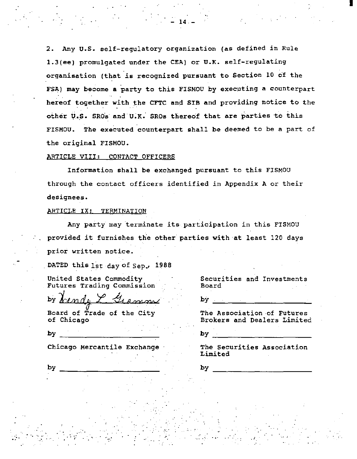2. Any u.s. self-regulatory organization (as defined in Rule 1.3(ee) promulgated under the CEA) or U.K. self-regulating organisation (that is recognized pursuant to Section 10 of the FSA) may become a party to this FISMOU by executing a counterpart hereof together with the CFTC and SIB and providing notice to the other U.S. SROs and U.K. SROs thereof that are parties to this FISMOU. The executed counterpart shall be deemed to be a part of the original FISMOU.

14.-

## ARTICLE VIII: CONTACT OFFICERS

Information shall be exchanged pursuant to this FISMOU through the contact officers identified in Appendix A or their designees.

# ARTICLE IX: TERMINATION

Any party may terminate its participation in this FISMOU provided it furnishes the other parties with-at least 120 days prior written notice.

.•

DATED this 1st day of Sep., 1988

United States Commodity Futures Trading Commission

by <u>Lendy L. Gramm</u>

Board of Trade of the City of Chicago

by  $\overline{\phantom{a}}$ 

Chicago Mercantile Exchange

. · .. ·. ,\_. ... \_\_ .

Securities and Investments Board

I

by.

The Association -of Futures Brokers and Dealers Limited

by

The Securities Association Limited

. f

by

by  $\overline{\phantom{a}}$ 

 $\mathcal{L}^{\text{max}}_{\text{max}}$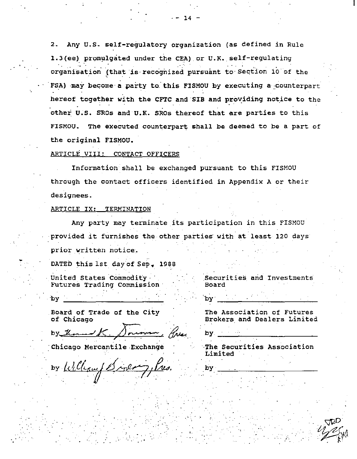$2.$ Any U.S. self-regulatory organization (as defined in Rule 1.3(ee) promulgated under the CEA) or U.K. self-regulating organisation (that is recognized pursuant to Section 10 of the FSA) may become a party to this FISMOU by executing a counterpart hereof together with the CFTC and SIB and providing notice to the other U.S. SROs and U.K. SROs thereof that are parties to this FISMOU. The executed counterpart shall be deemed to be a part of the original FISMOU.

## ARTICLE VIII: CONTACT OFFICERS

Information shall be exchanged pursuant to this FISMOU through the contact officers identified in Appendix A or their designees.

### ARTICLE IX: TERMINATION

Any party may terminate its participation in this FISMOU provided it furnishes the other parties with at least 120 days prior written notice.

DATED this 1st day of Sep. 1988

United States Commodity Futures Trading Commission

Board of Trade of the City of Chicago

Chicago Mercantile Exchange

by Williamy

Securities and Investments Board

The Association of Futures Brokers and Dealers Limited

The Securities Association Limited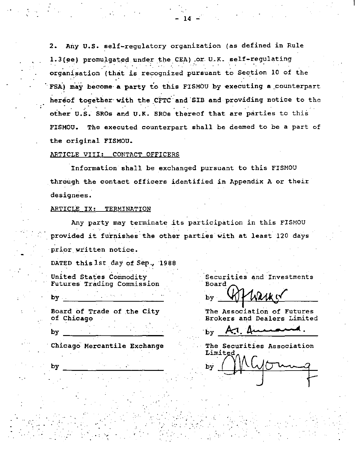2. Any U.S. self-regulatory organization (as defined in Rule 1.3(ee) promulgated under the CEA) or U.K. self-regulating organisation (that is recognized pursuant to Section 10 of the FSA) may become a party to this FISMOU by executing a counterpart hereof together with the CFTC and SIB and providing notice to the other U.S. SROs and U.K. SROs thereof that are parties to this The executed counterpart shall be deemed to be a part of FISMOU. the original FISMOU.

## ARTICLE VIII: CONTACT OFFICERS

Information shall be exchanged pursuant to this FISMOU through the contact officers identified in Appendix A or their designees.

# ARTICLE IX: TERMINATION

Any party may terminate its participation in this FISMOU provided it furnishes the other parties with at least 120 days prior written notice.

DATED this 1st day of Sep., 1988

United States Commodity Futures Trading Commission

by .

by

Board of Trade of the City of Chicago

Securities and Investments Board

The Association of Futures Brokers and Dealers Limited

bv

Chicago Mercantile Exchange

The Securities Association Limited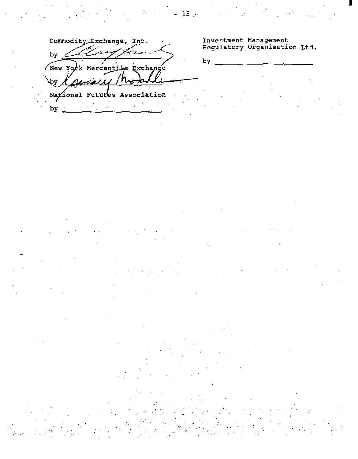New York Mercantile Exchange фy Nazional Futures Association

by  $\frac{1}{2}$  $\ddot{\phantom{0}}$  $\mathbb{R}^2$ 

 $$ 

Investment Management<br>Regulatory Organisation Ltd.

by

 $-15 -$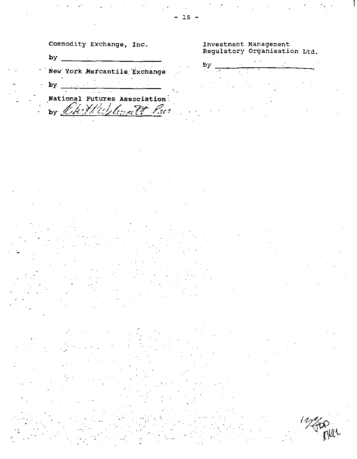New York Mercantile Exchange

by  $\overline{\phantom{a}}$ 

National Futures Association by Chittleslandt Par

# Investment Management<br>Regulatory Organisation Ltd.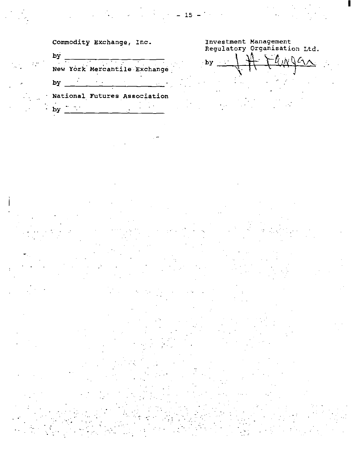Investment Management<br>Regulatory Organisation Ltd.

by  $\overline{\phantom{0}}$ New York Mercantile Exchange by  $\frac{1}{\sqrt{2}}$ 

National Futures Association

 $\frac{1}{2}$  by  $\frac{1}{2}$  and  $\frac{1}{2}$  and  $\frac{1}{2}$ 

MOGA.  $$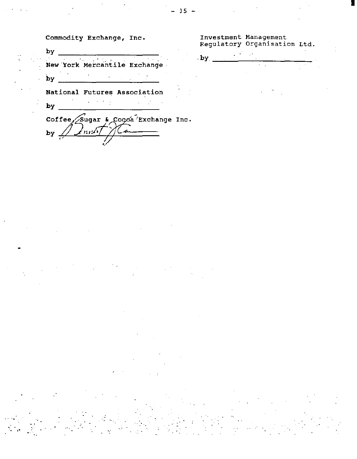by  $\overline{\phantom{a}}$ New York Mercantile Exchange  $by$ 

National Futures Association

 $\Delta$  $by \_$ 

Coffee Sugar & Cocoa Exchange Inc.  $by<sub>1</sub>$ فكمنادئ

Investment Management<br>Regulatory Organisation Ltd.

 $by$ 

15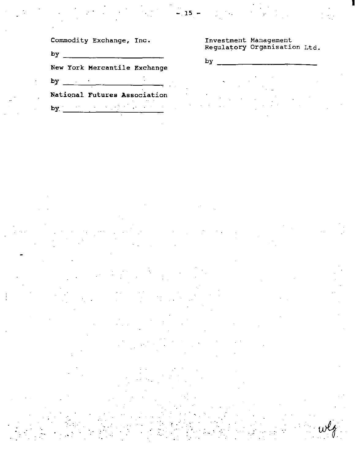$by \t -$ 

New York Mercantile Exchange

by  $\frac{1}{2}$   $\frac{1}{2}$   $\frac{1}{2}$   $\frac{1}{2}$   $\frac{1}{2}$   $\frac{1}{2}$   $\frac{1}{2}$   $\frac{1}{2}$   $\frac{1}{2}$   $\frac{1}{2}$   $\frac{1}{2}$   $\frac{1}{2}$   $\frac{1}{2}$   $\frac{1}{2}$   $\frac{1}{2}$   $\frac{1}{2}$   $\frac{1}{2}$   $\frac{1}{2}$   $\frac{1}{2}$   $\frac{1}{2}$   $\frac{1}{2}$   $\frac{1}{2}$ 

National Futures Association

by  $\frac{1}{2}$  ,  $\frac{1}{2}$  ,  $\frac{1}{2}$  ,  $\frac{1}{2}$  ,  $\frac{1}{2}$ 

Investment Management<br>Regulatory Organisation Ltd.

by